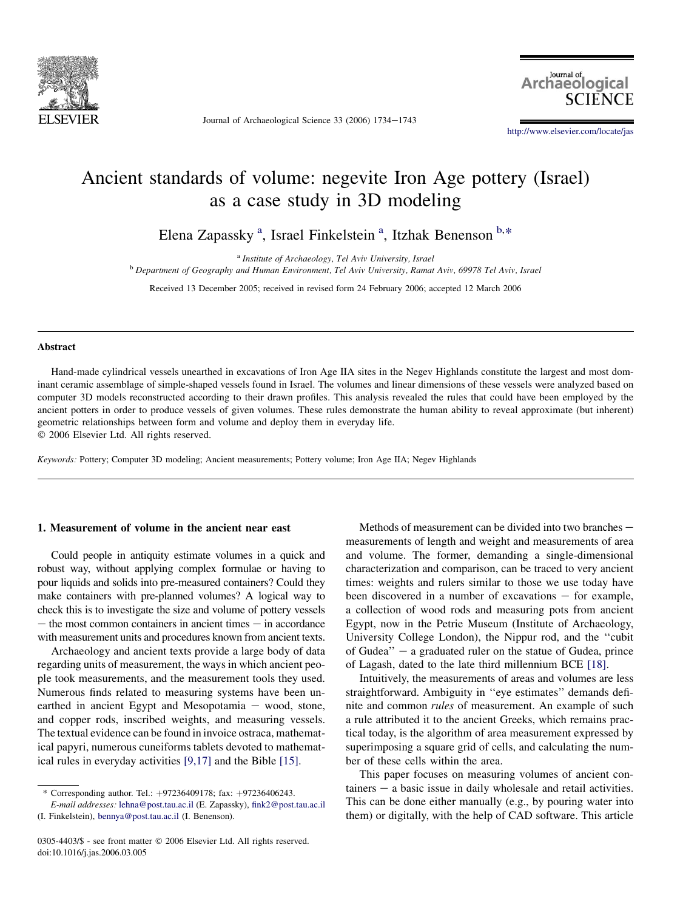

Journal of Archaeological Science 33 (2006) 1734-1743

Journal of Archaeological

<http://www.elsevier.com/locate/jas>

# Ancient standards of volume: negevite Iron Age pottery (Israel) as a case study in 3D modeling

Elena Zapassky<sup>a</sup>, Israel Finkelstein<sup>a</sup>, Itzhak Benenson<sup>b,\*</sup>

<sup>a</sup> Institute of Archaeology, Tel Aviv University, Israel<br><sup>b</sup> Department of Geography and Human Environment, Tel Aviv University, Ramat Aviv, 69978 Tel Aviv, Israel

Received 13 December 2005; received in revised form 24 February 2006; accepted 12 March 2006

## Abstract

Hand-made cylindrical vessels unearthed in excavations of Iron Age IIA sites in the Negev Highlands constitute the largest and most dominant ceramic assemblage of simple-shaped vessels found in Israel. The volumes and linear dimensions of these vessels were analyzed based on computer 3D models reconstructed according to their drawn profiles. This analysis revealed the rules that could have been employed by the ancient potters in order to produce vessels of given volumes. These rules demonstrate the human ability to reveal approximate (but inherent) geometric relationships between form and volume and deploy them in everyday life. 2006 Elsevier Ltd. All rights reserved.

Keywords: Pottery; Computer 3D modeling; Ancient measurements; Pottery volume; Iron Age IIA; Negev Highlands

## 1. Measurement of volume in the ancient near east

Could people in antiquity estimate volumes in a quick and robust way, without applying complex formulae or having to pour liquids and solids into pre-measured containers? Could they make containers with pre-planned volumes? A logical way to check this is to investigate the size and volume of pottery vessels  $-$  the most common containers in ancient times  $-$  in accordance with measurement units and procedures known from ancient texts.

Archaeology and ancient texts provide a large body of data regarding units of measurement, the ways in which ancient people took measurements, and the measurement tools they used. Numerous finds related to measuring systems have been unearthed in ancient Egypt and Mesopotamia  $-$  wood, stone, and copper rods, inscribed weights, and measuring vessels. The textual evidence can be found in invoice ostraca, mathematical papyri, numerous cuneiforms tablets devoted to mathematical rules in everyday activities [\[9,17\]](#page-9-0) and the Bible [\[15\]](#page-9-0).

Methods of measurement can be divided into two branches  $$ measurements of length and weight and measurements of area and volume. The former, demanding a single-dimensional characterization and comparison, can be traced to very ancient times: weights and rulers similar to those we use today have been discovered in a number of excavations  $-$  for example, a collection of wood rods and measuring pots from ancient Egypt, now in the Petrie Museum (Institute of Archaeology, University College London), the Nippur rod, and the ''cubit of Gudea"  $-$  a graduated ruler on the statue of Gudea, prince of Lagash, dated to the late third millennium BCE [\[18\].](#page-9-0)

Intuitively, the measurements of areas and volumes are less straightforward. Ambiguity in ''eye estimates'' demands definite and common rules of measurement. An example of such a rule attributed it to the ancient Greeks, which remains practical today, is the algorithm of area measurement expressed by superimposing a square grid of cells, and calculating the number of these cells within the area.

This paper focuses on measuring volumes of ancient con $tainers - a basic issue in daily wholesale and retail activities.$ This can be done either manually (e.g., by pouring water into them) or digitally, with the help of CAD software. This article

<sup>\*</sup> Corresponding author. Tel.: þ97236409178; fax: þ97236406243.

E-mail addresses: [lehna@post.tau.ac.il](mailto:lehna@post.tau.ac.il) (E. Zapassky), [fink2@post.tau.ac.il](mailto:fink2@post.tau.ac.il) (I. Finkelstein), [bennya@post.tau.ac.il](mailto:bennya@post.tau.ac.il) (I. Benenson).

<sup>0305-4403/\$ -</sup> see front matter © 2006 Elsevier Ltd. All rights reserved. doi:10.1016/j.jas.2006.03.005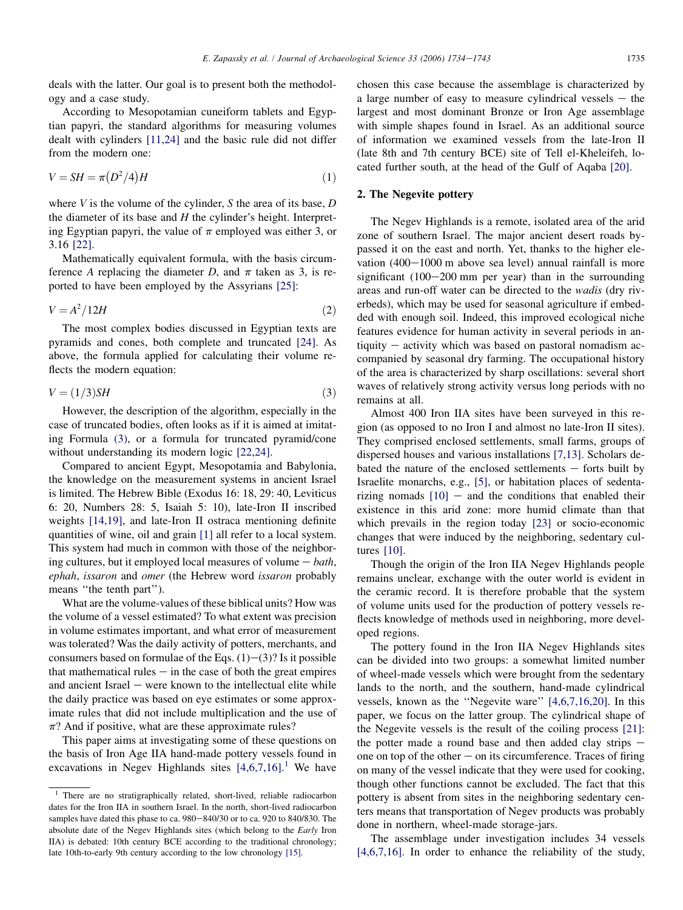<span id="page-1-0"></span>deals with the latter. Our goal is to present both the methodology and a case study.

According to Mesopotamian cuneiform tablets and Egyptian papyri, the standard algorithms for measuring volumes dealt with cylinders [\[11,24\]](#page-9-0) and the basic rule did not differ from the modern one:

$$
V = SH = \pi (D^2/4)H
$$
\n<sup>(1)</sup>

where V is the volume of the cylinder, S the area of its base,  $D$ the diameter of its base and  $H$  the cylinder's height. Interpreting Egyptian papyri, the value of  $\pi$  employed was either 3, or 3.16 [\[22\].](#page-9-0)

Mathematically equivalent formula, with the basis circumference A replacing the diameter D, and  $\pi$  taken as 3, is reported to have been employed by the Assyrians [\[25\]:](#page-9-0)

$$
V = A^2 / 12H \tag{2}
$$

The most complex bodies discussed in Egyptian texts are pyramids and cones, both complete and truncated [\[24\]](#page-9-0). As above, the formula applied for calculating their volume reflects the modern equation:

$$
V = (1/3)SH
$$
 (3)

However, the description of the algorithm, especially in the case of truncated bodies, often looks as if it is aimed at imitating Formula (3), or a formula for truncated pyramid/cone without understanding its modern logic [\[22,24\].](#page-9-0)

Compared to ancient Egypt, Mesopotamia and Babylonia, the knowledge on the measurement systems in ancient Israel is limited. The Hebrew Bible (Exodus 16: 18, 29: 40, Leviticus 6: 20, Numbers 28: 5, Isaiah 5: 10), late-Iron II inscribed weights [\[14,19\],](#page-9-0) and late-Iron II ostraca mentioning definite quantities of wine, oil and grain [\[1\]](#page-9-0) all refer to a local system. This system had much in common with those of the neighboring cultures, but it employed local measures of volume  $-$  bath, ephah, issaron and omer (the Hebrew word issaron probably means ''the tenth part'').

What are the volume-values of these biblical units? How was the volume of a vessel estimated? To what extent was precision in volume estimates important, and what error of measurement was tolerated? Was the daily activity of potters, merchants, and consumers based on formulae of the Eqs.  $(1)-(3)$ ? Is it possible that mathematical rules  $-\text{ in the case of both the great empires}$ and ancient Israel  $-$  were known to the intellectual elite while the daily practice was based on eye estimates or some approximate rules that did not include multiplication and the use of  $\pi$ ? And if positive, what are these approximate rules?

This paper aims at investigating some of these questions on the basis of Iron Age IIA hand-made pottery vessels found in excavations in Negev Highlands sites  $[4,6,7,16]$ .<sup>1</sup> We have

chosen this case because the assemblage is characterized by a large number of easy to measure cylindrical vessels  $-$  the largest and most dominant Bronze or Iron Age assemblage with simple shapes found in Israel. As an additional source of information we examined vessels from the late-Iron II (late 8th and 7th century BCE) site of Tell el-Kheleifeh, located further south, at the head of the Gulf of Aqaba [\[20\]](#page-9-0).

# 2. The Negevite pottery

The Negev Highlands is a remote, isolated area of the arid zone of southern Israel. The major ancient desert roads bypassed it on the east and north. Yet, thanks to the higher elevation  $(400-1000 \text{ m}$  above sea level) annual rainfall is more significant  $(100-200 \text{ mm per year})$  than in the surrounding areas and run-off water can be directed to the wadis (dry riverbeds), which may be used for seasonal agriculture if embedded with enough soil. Indeed, this improved ecological niche features evidence for human activity in several periods in antiquity  $-$  activity which was based on pastoral nomadism accompanied by seasonal dry farming. The occupational history of the area is characterized by sharp oscillations: several short waves of relatively strong activity versus long periods with no remains at all.

Almost 400 Iron IIA sites have been surveyed in this region (as opposed to no Iron I and almost no late-Iron II sites). They comprised enclosed settlements, small farms, groups of dispersed houses and various installations [\[7,13\]](#page-9-0). Scholars debated the nature of the enclosed settlements  $-$  forts built by Israelite monarchs, e.g., [\[5\]](#page-9-0), or habitation places of sedentarizing nomads  $[10]$  – and the conditions that enabled their existence in this arid zone: more humid climate than that which prevails in the region today [\[23\]](#page-9-0) or socio-economic changes that were induced by the neighboring, sedentary cultures [\[10\]](#page-9-0).

Though the origin of the Iron IIA Negev Highlands people remains unclear, exchange with the outer world is evident in the ceramic record. It is therefore probable that the system of volume units used for the production of pottery vessels reflects knowledge of methods used in neighboring, more developed regions.

The pottery found in the Iron IIA Negev Highlands sites can be divided into two groups: a somewhat limited number of wheel-made vessels which were brought from the sedentary lands to the north, and the southern, hand-made cylindrical vessels, known as the ''Negevite ware'' [\[4,6,7,16,20\]](#page-9-0). In this paper, we focus on the latter group. The cylindrical shape of the Negevite vessels is the result of the coiling process [\[21\]:](#page-9-0) the potter made a round base and then added clay strips  $$ one on top of the other  $-\text{ on its circumference.}$  Traces of firing on many of the vessel indicate that they were used for cooking, though other functions cannot be excluded. The fact that this pottery is absent from sites in the neighboring sedentary centers means that transportation of Negev products was probably done in northern, wheel-made storage-jars.

The assemblage under investigation includes 34 vessels [\[4,6,7,16\].](#page-9-0) In order to enhance the reliability of the study,

<sup>1</sup> There are no stratigraphically related, short-lived, reliable radiocarbon dates for the Iron IIA in southern Israel. In the north, short-lived radiocarbon samples have dated this phase to ca. 980-840/30 or to ca. 920 to 840/830. The absolute date of the Negev Highlands sites (which belong to the Early Iron IIA) is debated: 10th century BCE according to the traditional chronology; late 10th-to-early 9th century according to the low chronology [\[15\]](#page-9-0).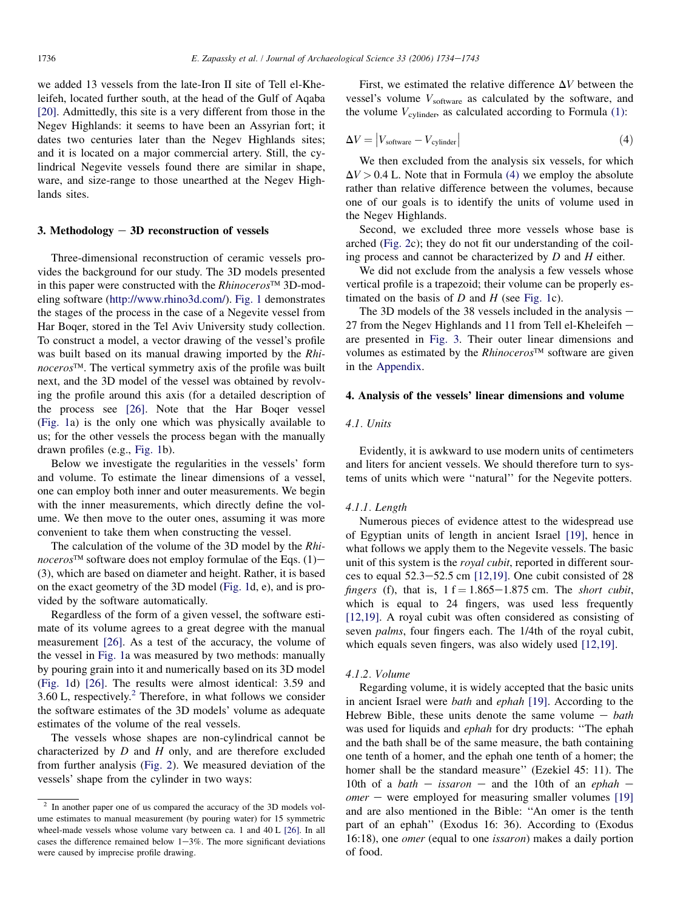we added 13 vessels from the late-Iron II site of Tell el-Kheleifeh, located further south, at the head of the Gulf of Aqaba [\[20\]](#page-9-0). Admittedly, this site is a very different from those in the Negev Highlands: it seems to have been an Assyrian fort; it dates two centuries later than the Negev Highlands sites; and it is located on a major commercial artery. Still, the cylindrical Negevite vessels found there are similar in shape, ware, and size-range to those unearthed at the Negev Highlands sites.

# 3. Methodology  $-3D$  reconstruction of vessels

Three-dimensional reconstruction of ceramic vessels provides the background for our study. The 3D models presented in this paper were constructed with the  $Rhinoceros^{\text{TM}}$  3D-modeling software ([http://www.rhino3d.com/\)](http://www.rhino3d.com/). [Fig. 1](#page-3-0) demonstrates the stages of the process in the case of a Negevite vessel from Har Boqer, stored in the Tel Aviv University study collection. To construct a model, a vector drawing of the vessel's profile was built based on its manual drawing imported by the Rhinoceros<sup>™</sup>. The vertical symmetry axis of the profile was built next, and the 3D model of the vessel was obtained by revolving the profile around this axis (for a detailed description of the process see [\[26\]](#page-9-0). Note that the Har Boqer vessel [\(Fig. 1](#page-3-0)a) is the only one which was physically available to us; for the other vessels the process began with the manually drawn profiles (e.g., [Fig. 1b](#page-3-0)).

Below we investigate the regularities in the vessels' form and volume. To estimate the linear dimensions of a vessel, one can employ both inner and outer measurements. We begin with the inner measurements, which directly define the volume. We then move to the outer ones, assuming it was more convenient to take them when constructing the vessel.

The calculation of the volume of the 3D model by the Rhinoceros<sup>™</sup> software does not employ formulae of the Eqs. (1)– (3), which are based on diameter and height. Rather, it is based on the exact geometry of the 3D model ([Fig. 1](#page-3-0)d, e), and is provided by the software automatically.

Regardless of the form of a given vessel, the software estimate of its volume agrees to a great degree with the manual measurement [\[26\].](#page-9-0) As a test of the accuracy, the volume of the vessel in [Fig. 1](#page-3-0)a was measured by two methods: manually by pouring grain into it and numerically based on its 3D model [\(Fig. 1d](#page-3-0)) [\[26\]](#page-9-0). The results were almost identical: 3.59 and  $3.60$  L, respectively.<sup>2</sup> Therefore, in what follows we consider the software estimates of the 3D models' volume as adequate estimates of the volume of the real vessels.

The vessels whose shapes are non-cylindrical cannot be characterized by  $D$  and  $H$  only, and are therefore excluded from further analysis ([Fig. 2](#page-3-0)). We measured deviation of the vessels' shape from the cylinder in two ways:

First, we estimated the relative difference  $\Delta V$  between the vessel's volume  $V_{\text{software}}$  as calculated by the software, and the volume  $V_{cylinder}$ , as calculated according to Formula [\(1\):](#page-1-0)

$$
\Delta V = |V_{\text{software}} - V_{\text{cylinder}}|
$$
\n(4)

We then excluded from the analysis six vessels, for which  $\Delta V > 0.4$  L. Note that in Formula (4) we employ the absolute rather than relative difference between the volumes, because one of our goals is to identify the units of volume used in the Negev Highlands.

Second, we excluded three more vessels whose base is arched ([Fig. 2](#page-3-0)c); they do not fit our understanding of the coiling process and cannot be characterized by  $D$  and  $H$  either.

We did not exclude from the analysis a few vessels whose vertical profile is a trapezoid; their volume can be properly estimated on the basis of  $D$  and  $H$  (see [Fig. 1](#page-3-0)c).

The 3D models of the 38 vessels included in the analysis  $-$ 27 from the Negev Highlands and 11 from Tell el-Kheleifeh  $$ are presented in [Fig. 3.](#page-4-0) Their outer linear dimensions and volumes as estimated by the *Rhinoceros*<sup>TM</sup> software are given in the Appendix.

## 4. Analysis of the vessels' linear dimensions and volume

## 4.1. Units

Evidently, it is awkward to use modern units of centimeters and liters for ancient vessels. We should therefore turn to systems of units which were ''natural'' for the Negevite potters.

## 4.1.1. Length

Numerous pieces of evidence attest to the widespread use of Egyptian units of length in ancient Israel [\[19\]](#page-9-0), hence in what follows we apply them to the Negevite vessels. The basic unit of this system is the *royal cubit*, reported in different sources to equal  $52.3-52.5$  cm  $[12,19]$ . One cubit consisted of 28 fingers (f), that is,  $1 f = 1.865 - 1.875$  cm. The *short cubit*, which is equal to 24 fingers, was used less frequently [\[12,19\].](#page-9-0) A royal cubit was often considered as consisting of seven palms, four fingers each. The 1/4th of the royal cubit, which equals seven fingers, was also widely used [\[12,19\]](#page-9-0).

#### 4.1.2. Volume

Regarding volume, it is widely accepted that the basic units in ancient Israel were bath and ephah [\[19\].](#page-9-0) According to the Hebrew Bible, these units denote the same volume  $-$  bath was used for liquids and ephah for dry products: ''The ephah and the bath shall be of the same measure, the bath containing one tenth of a homer, and the ephah one tenth of a homer; the homer shall be the standard measure'' (Ezekiel 45: 11). The 10th of a bath – issaron – and the 10th of an ephah –  $\omega$ *omer* – were employed for measuring smaller volumes [\[19\]](#page-9-0) and are also mentioned in the Bible: ''An omer is the tenth part of an ephah'' (Exodus 16: 36). According to (Exodus 16:18), one omer (equal to one issaron) makes a daily portion of food.

 $\frac{2}{1}$  In another paper one of us compared the accuracy of the 3D models volume estimates to manual measurement (by pouring water) for 15 symmetric wheel-made vessels whose volume vary between ca. 1 and 40 L [\[26\]](#page-9-0). In all cases the difference remained below  $1-3\%$ . The more significant deviations were caused by imprecise profile drawing.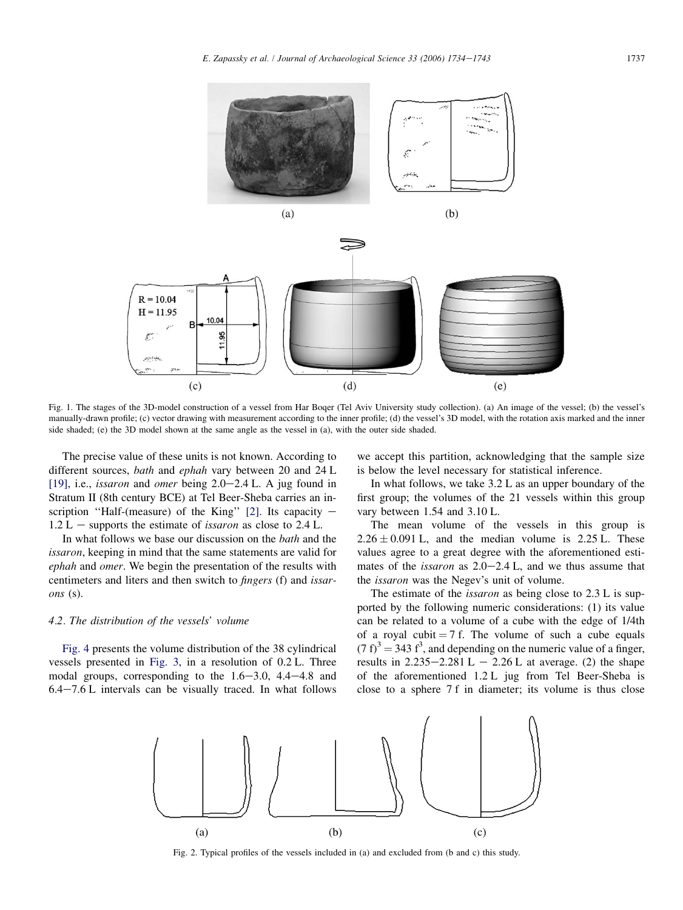<span id="page-3-0"></span>

Fig. 1. The stages of the 3D-model construction of a vessel from Har Boqer (Tel Aviv University study collection). (a) An image of the vessel; (b) the vessel's manually-drawn profile; (c) vector drawing with measurement according to the inner profile; (d) the vessel's 3D model, with the rotation axis marked and the inner side shaded; (e) the 3D model shown at the same angle as the vessel in (a), with the outer side shaded.

 $(d)$ 

The precise value of these units is not known. According to different sources, bath and ephah vary between 20 and 24 L [\[19\]](#page-9-0), i.e., *issaron* and *omer* being  $2.0-2.4$  L. A jug found in Stratum II (8th century BCE) at Tel Beer-Sheba carries an in-scription "Half-(measure) of the King" [\[2\]](#page-9-0). Its capacity  $1.2$  L – supports the estimate of *issaron* as close to  $2.4$  L.

 $(c)$ 

In what follows we base our discussion on the *bath* and the issaron, keeping in mind that the same statements are valid for ephah and omer. We begin the presentation of the results with centimeters and liters and then switch to fingers (f) and issarons (s).

## 4.2. The distribution of the vessels' volume

[Fig. 4](#page-5-0) presents the volume distribution of the 38 cylindrical vessels presented in [Fig. 3,](#page-4-0) in a resolution of 0.2 L. Three modal groups, corresponding to the  $1.6-3.0$ ,  $4.4-4.8$  and  $6.4-7.6$  L intervals can be visually traced. In what follows we accept this partition, acknowledging that the sample size is below the level necessary for statistical inference.

 $(e)$ 

In what follows, we take 3.2 L as an upper boundary of the first group; the volumes of the 21 vessels within this group vary between 1.54 and 3.10 L.

The mean volume of the vessels in this group is  $2.26 \pm 0.091$  L, and the median volume is 2.25 L. These values agree to a great degree with the aforementioned estimates of the *issaron* as  $2.0-2.4$  L, and we thus assume that the issaron was the Negev's unit of volume.

The estimate of the *issaron* as being close to 2.3 L is supported by the following numeric considerations: (1) its value can be related to a volume of a cube with the edge of 1/4th of a royal cubit  $= 7$  f. The volume of such a cube equals  $(7 f)^3 = 343 f^3$ , and depending on the numeric value of a finger, results in  $2.235-2.281 \text{ L} - 2.26 \text{ L}$  at average. (2) the shape of the aforementioned 1.2 L jug from Tel Beer-Sheba is close to a sphere 7 f in diameter; its volume is thus close



Fig. 2. Typical profiles of the vessels included in (a) and excluded from (b and c) this study.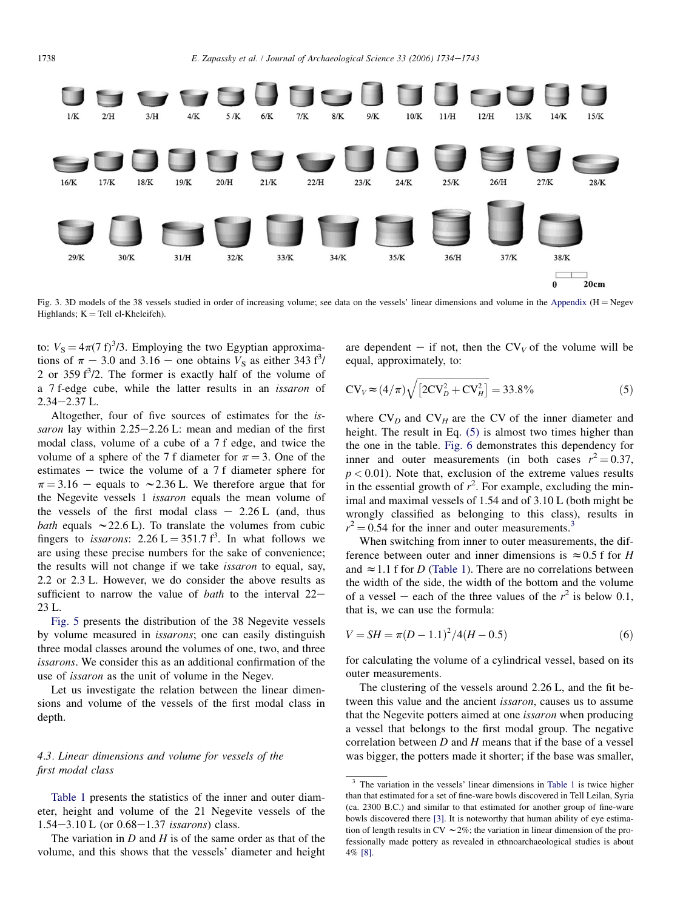<span id="page-4-0"></span>

Fig. 3. 3D models of the 38 vessels studied in order of increasing volume; see data on the vessels' linear dimensions and volume in the Appendix ( $H = Negev$ Highlands;  $K = TelI$  el-Kheleifeh).

to:  $V_s = 4\pi (7 \text{ f})^3/3$ . Employing the two Egyptian approximations of  $\pi$  – 3.0 and 3.16 – one obtains  $V_s$  as either 343 f<sup>3</sup>/ 2 or 359  $f^3/2$ . The former is exactly half of the volume of a 7 f-edge cube, while the latter results in an issaron of  $2.34 - 2.37$  L.

Altogether, four of five sources of estimates for the issaron lay within  $2.25-2.26$  L: mean and median of the first modal class, volume of a cube of a 7 f edge, and twice the volume of a sphere of the 7 f diameter for  $\pi = 3$ . One of the estimates  $-$  twice the volume of a 7 f diameter sphere for  $\pi$  = 3.16 – equals to  $\sim$  2.36 L. We therefore argue that for the Negevite vessels 1 issaron equals the mean volume of the vessels of the first modal class  $-2.26 L$  (and, thus bath equals  $\sim$  22.6 L). To translate the volumes from cubic fingers to *issarons*:  $2.26 \text{ L} = 351.7 \text{ f}^3$ . In what follows we are using these precise numbers for the sake of convenience; the results will not change if we take issaron to equal, say, 2.2 or 2.3 L. However, we do consider the above results as sufficient to narrow the value of *bath* to the interval  $22-$ 23 L.

[Fig. 5](#page-5-0) presents the distribution of the 38 Negevite vessels by volume measured in issarons; one can easily distinguish three modal classes around the volumes of one, two, and three issarons. We consider this as an additional confirmation of the use of issaron as the unit of volume in the Negev.

Let us investigate the relation between the linear dimensions and volume of the vessels of the first modal class in depth.

# 4.3. Linear dimensions and volume for vessels of the first modal class

[Table 1](#page-6-0) presents the statistics of the inner and outer diameter, height and volume of the 21 Negevite vessels of the  $1.54 - 3.10$  L (or  $0.68 - 1.37$  issarons) class.

The variation in  $D$  and  $H$  is of the same order as that of the volume, and this shows that the vessels' diameter and height are dependent – if not, then the  $CV_V$  of the volume will be equal, approximately, to:

$$
CV_V \approx (4/\pi) \sqrt{[2CV_D^2 + CV_H^2]} = 33.8\% \tag{5}
$$

where  $CV<sub>D</sub>$  and  $CV<sub>H</sub>$  are the CV of the inner diameter and height. The result in Eq.  $(5)$  is almost two times higher than the one in the table. [Fig. 6](#page-6-0) demonstrates this dependency for inner and outer measurements (in both cases  $r^2 = 0.37$ ,  $p < 0.01$ ). Note that, exclusion of the extreme values results in the essential growth of  $r^2$ . For example, excluding the minimal and maximal vessels of 1.54 and of 3.10 L (both might be wrongly classified as belonging to this class), results in  $r^2 = 0.54$  for the inner and outer measurements.<sup>3</sup>

When switching from inner to outer measurements, the difference between outer and inner dimensions is  $\approx 0.5$  f for H and  $\approx$  1.1 f for D [\(Table 1](#page-6-0)). There are no correlations between the width of the side, the width of the bottom and the volume of a vessel – each of the three values of the  $r^2$  is below 0.1, that is, we can use the formula:

$$
V = SH = \pi (D - 1.1)^{2} / 4(H - 0.5)
$$
\n(6)

for calculating the volume of a cylindrical vessel, based on its outer measurements.

The clustering of the vessels around 2.26 L, and the fit between this value and the ancient *issaron*, causes us to assume that the Negevite potters aimed at one issaron when producing a vessel that belongs to the first modal group. The negative correlation between  $D$  and  $H$  means that if the base of a vessel was bigger, the potters made it shorter; if the base was smaller,

<sup>&</sup>lt;sup>3</sup> The variation in the vessels' linear dimensions in [Table 1](#page-6-0) is twice higher than that estimated for a set of fine-ware bowls discovered in Tell Leilan, Syria (ca. 2300 B.C.) and similar to that estimated for another group of fine-ware bowls discovered there [\[3\]](#page-9-0). It is noteworthy that human ability of eye estimation of length results in CV  $\sim$  2%; the variation in linear dimension of the professionally made pottery as revealed in ethnoarchaeological studies is about 4% [\[8\]](#page-9-0).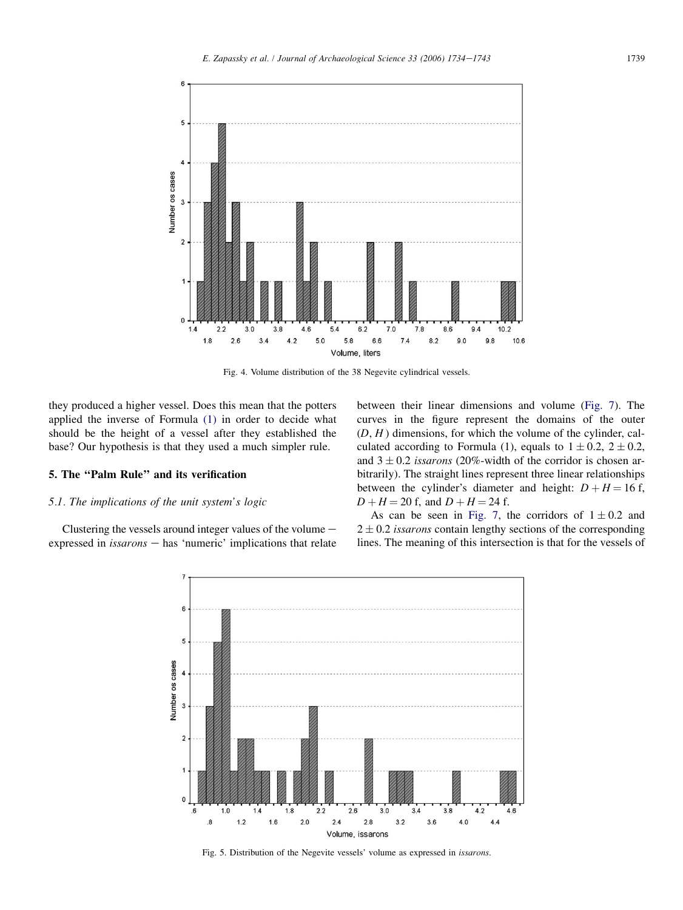<span id="page-5-0"></span>

Fig. 4. Volume distribution of the 38 Negevite cylindrical vessels.

they produced a higher vessel. Does this mean that the potters applied the inverse of Formula [\(1\)](#page-1-0) in order to decide what should be the height of a vessel after they established the base? Our hypothesis is that they used a much simpler rule.

# 5. The ''Palm Rule'' and its verification

## 5.1. The implications of the unit system's logic

Clustering the vessels around integer values of the volume  $$ expressed in  $isarons$  – has 'numeric' implications that relate between their linear dimensions and volume [\(Fig. 7](#page-6-0)). The curves in the figure represent the domains of the outer  $(D, H)$  dimensions, for which the volume of the cylinder, calculated according to Formula (1), equals to  $1 \pm 0.2$ ,  $2 \pm 0.2$ , and  $3 \pm 0.2$  *issarons* (20%-width of the corridor is chosen arbitrarily). The straight lines represent three linear relationships between the cylinder's diameter and height:  $D + H = 16$  f,  $D + H = 20$  f, and  $D + H = 24$  f.

As can be seen in [Fig. 7,](#page-6-0) the corridors of  $1 \pm 0.2$  and  $2 \pm 0.2$  issarons contain lengthy sections of the corresponding lines. The meaning of this intersection is that for the vessels of



Fig. 5. Distribution of the Negevite vessels' volume as expressed in issarons.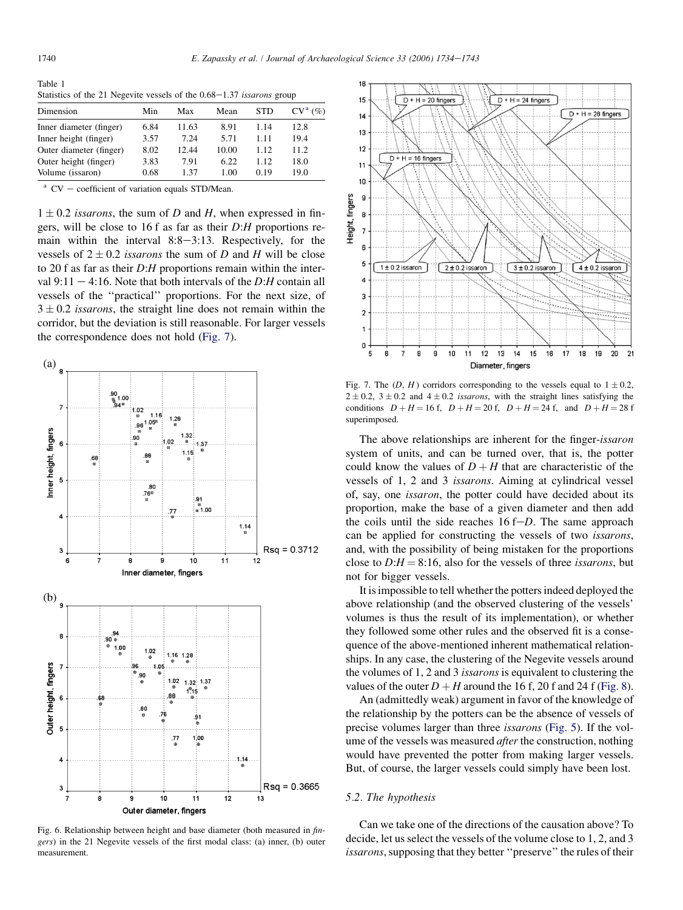<span id="page-6-0"></span>Table 1 Statistics of the 21 Negevite vessels of the  $0.68-1.37$  issarons group

| Dimension               | Min  | Max   | Mean  | <b>STD</b> | $CV^a$ (%) |
|-------------------------|------|-------|-------|------------|------------|
| Inner diameter (finger) | 6.84 | 11.63 | 8.91  | 1.14       | 12.8       |
| Inner height (finger)   | 3.57 | 7.24  | 5.71  | 1.11       | 19.4       |
| Outer diameter (finger) | 8.02 | 12.44 | 10.00 | 1.12       | 11.2.      |
| Outer height (finger)   | 3.83 | 7.91  | 6.22  | 1.12       | 18.0       |
| Volume (issaron)        | 0.68 | 1 37  | 1.00  | 0 1 9      | 19.0       |

 $^{\circ}$  CV – coefficient of variation equals STD/Mean.

 $1 \pm 0.2$  issarons, the sum of D and H, when expressed in fingers, will be close to 16 f as far as their D:H proportions remain within the interval  $8:8-3:13$ . Respectively, for the vessels of  $2 \pm 0.2$  *issarons* the sum of D and H will be close to 20 f as far as their  $D:$  H proportions remain within the interval  $9:11 - 4:16$ . Note that both intervals of the D:H contain all vessels of the ''practical'' proportions. For the next size, of  $3 \pm 0.2$  *issarons*, the straight line does not remain within the corridor, but the deviation is still reasonable. For larger vessels the correspondence does not hold (Fig. 7).



Fig. 6. Relationship between height and base diameter (both measured in fingers) in the 21 Negevite vessels of the first modal class: (a) inner, (b) outer measurement.



Fig. 7. The  $(D, H)$  corridors corresponding to the vessels equal to  $1 \pm 0.2$ ,  $2 \pm 0.2$ ,  $3 \pm 0.2$  and  $4 \pm 0.2$  *issarons*, with the straight lines satisfying the conditions  $D + H = 16$  f,  $D + H = 20$  f,  $D + H = 24$  f, and  $D + H = 28$  f superimposed.

The above relationships are inherent for the finger-issaron system of units, and can be turned over, that is, the potter could know the values of  $D + H$  that are characteristic of the vessels of 1, 2 and 3 issarons. Aiming at cylindrical vessel of, say, one issaron, the potter could have decided about its proportion, make the base of a given diameter and then add the coils until the side reaches  $16 f-D$ . The same approach can be applied for constructing the vessels of two issarons, and, with the possibility of being mistaken for the proportions close to  $D:H = 8:16$ , also for the vessels of three *issarons*, but not for bigger vessels.

It is impossible to tell whether the potters indeed deployed the above relationship (and the observed clustering of the vessels' volumes is thus the result of its implementation), or whether they followed some other rules and the observed fit is a consequence of the above-mentioned inherent mathematical relationships. In any case, the clustering of the Negevite vessels around the volumes of 1, 2 and 3 issarons is equivalent to clustering the values of the outer  $D + H$  around the 16 f, 20 f and 24 f [\(Fig. 8\)](#page-7-0).

An (admittedly weak) argument in favor of the knowledge of the relationship by the potters can be the absence of vessels of precise volumes larger than three issarons [\(Fig. 5\)](#page-5-0). If the volume of the vessels was measured *after* the construction, nothing would have prevented the potter from making larger vessels. But, of course, the larger vessels could simply have been lost.

## 5.2. The hypothesis

Can we take one of the directions of the causation above? To decide, let us select the vessels of the volume close to 1, 2, and 3 issarons, supposing that they better "preserve" the rules of their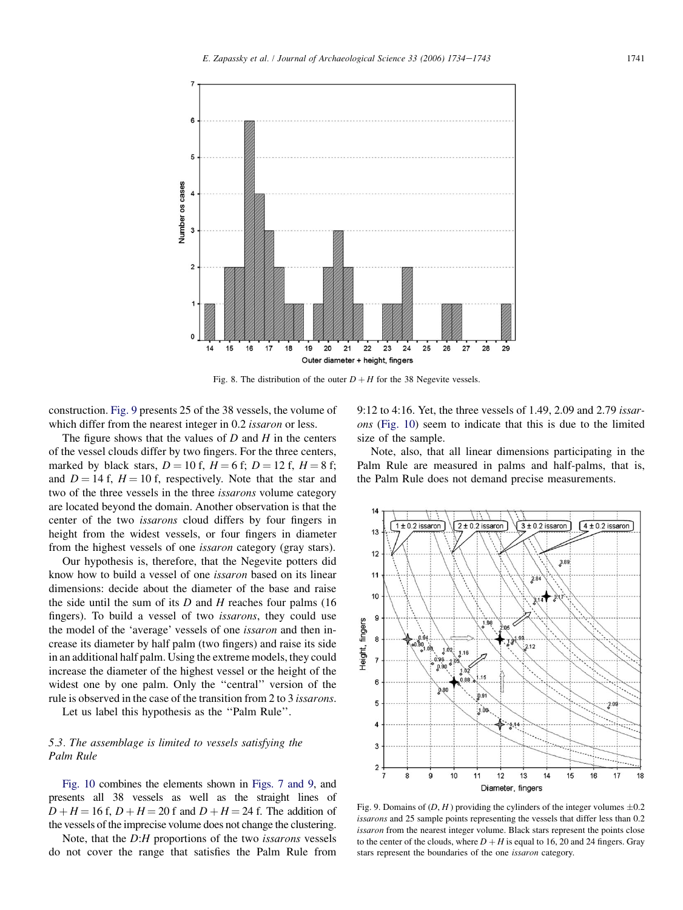<span id="page-7-0"></span>

Fig. 8. The distribution of the outer  $D + H$  for the 38 Negevite vessels.

construction. Fig. 9 presents 25 of the 38 vessels, the volume of which differ from the nearest integer in 0.2 *issaron* or less.

The figure shows that the values of  $D$  and  $H$  in the centers of the vessel clouds differ by two fingers. For the three centers, marked by black stars,  $D = 10$  f,  $H = 6$  f;  $D = 12$  f,  $H = 8$  f; and  $D = 14$  f,  $H = 10$  f, respectively. Note that the star and two of the three vessels in the three issarons volume category are located beyond the domain. Another observation is that the center of the two issarons cloud differs by four fingers in height from the widest vessels, or four fingers in diameter from the highest vessels of one issaron category (gray stars).

Our hypothesis is, therefore, that the Negevite potters did know how to build a vessel of one issaron based on its linear dimensions: decide about the diameter of the base and raise the side until the sum of its  $D$  and  $H$  reaches four palms (16) fingers). To build a vessel of two issarons, they could use the model of the 'average' vessels of one issaron and then increase its diameter by half palm (two fingers) and raise its side in an additional half palm. Using the extreme models, they could increase the diameter of the highest vessel or the height of the widest one by one palm. Only the ''central'' version of the rule is observed in the case of the transition from 2 to 3 issarons.

Let us label this hypothesis as the "Palm Rule".

# 5.3. The assemblage is limited to vessels satisfying the Palm Rule

[Fig. 10](#page-8-0) combines the elements shown in [Figs. 7 and 9](#page-6-0), and presents all 38 vessels as well as the straight lines of  $D + H = 16$  f,  $D + H = 20$  f and  $D + H = 24$  f. The addition of the vessels of the imprecise volume does not change the clustering.

Note, that the D:H proportions of the two issarons vessels do not cover the range that satisfies the Palm Rule from 9:12 to 4:16. Yet, the three vessels of 1.49, 2.09 and 2.79 issarons [\(Fig. 10](#page-8-0)) seem to indicate that this is due to the limited size of the sample.

Note, also, that all linear dimensions participating in the Palm Rule are measured in palms and half-palms, that is, the Palm Rule does not demand precise measurements.



Fig. 9. Domains of  $(D, H)$  providing the cylinders of the integer volumes  $\pm 0.2$ issarons and 25 sample points representing the vessels that differ less than 0.2 issaron from the nearest integer volume. Black stars represent the points close to the center of the clouds, where  $D + H$  is equal to 16, 20 and 24 fingers. Gray stars represent the boundaries of the one issaron category.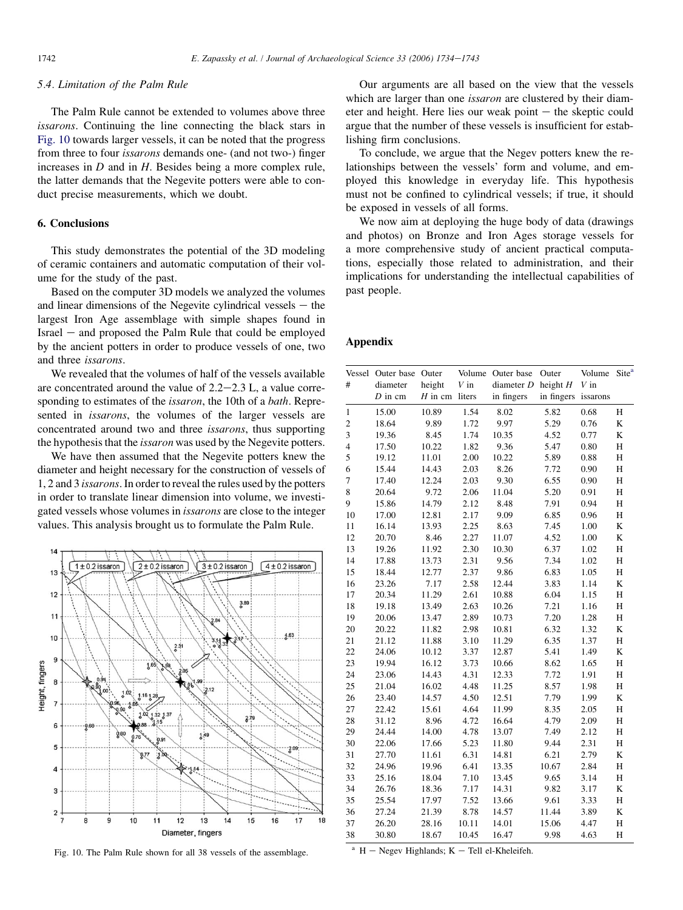# <span id="page-8-0"></span>5.4. Limitation of the Palm Rule

The Palm Rule cannot be extended to volumes above three issarons. Continuing the line connecting the black stars in Fig. 10 towards larger vessels, it can be noted that the progress from three to four issarons demands one- (and not two-) finger increases in  $D$  and in  $H$ . Besides being a more complex rule, the latter demands that the Negevite potters were able to conduct precise measurements, which we doubt.

## 6. Conclusions

This study demonstrates the potential of the 3D modeling of ceramic containers and automatic computation of their volume for the study of the past.

Based on the computer 3D models we analyzed the volumes and linear dimensions of the Negevite cylindrical vessels  $-$  the largest Iron Age assemblage with simple shapes found in  $Israel - and proposed the Palm Rule that could be employed$ by the ancient potters in order to produce vessels of one, two and three issarons.

We revealed that the volumes of half of the vessels available are concentrated around the value of  $2.2-2.3$  L, a value corresponding to estimates of the issaron, the 10th of a bath. Represented in issarons, the volumes of the larger vessels are concentrated around two and three issarons, thus supporting the hypothesis that the issaron was used by the Negevite potters.

We have then assumed that the Negevite potters knew the diameter and height necessary for the construction of vessels of 1, 2 and 3 issarons. In order to reveal the rules used by the potters in order to translate linear dimension into volume, we investigated vessels whose volumes in issarons are close to the integer values. This analysis brought us to formulate the Palm Rule.



Fig. 10. The Palm Rule shown for all 38 vessels of the assemblage.

Our arguments are all based on the view that the vessels which are larger than one *issaron* are clustered by their diameter and height. Here lies our weak point  $-$  the skeptic could argue that the number of these vessels is insufficient for establishing firm conclusions.

To conclude, we argue that the Negev potters knew the relationships between the vessels' form and volume, and employed this knowledge in everyday life. This hypothesis must not be confined to cylindrical vessels; if true, it should be exposed in vessels of all forms.

We now aim at deploying the huge body of data (drawings and photos) on Bronze and Iron Ages storage vessels for a more comprehensive study of ancient practical computations, especially those related to administration, and their implications for understanding the intellectual capabilities of past people.

## Appendix

| #              | Vessel Outer base Outer<br>diameter<br>$D$ in cm | height<br>$H$ in cm liters | $V$ in | Volume Outer base<br>diameter $D$<br>in fingers | Outer<br>height $H$<br>in fingers | Volume<br>$V$ in<br>issarons | Site <sup>a</sup> |
|----------------|--------------------------------------------------|----------------------------|--------|-------------------------------------------------|-----------------------------------|------------------------------|-------------------|
| 1              | 15.00                                            | 10.89                      | 1.54   | 8.02                                            | 5.82                              | 0.68                         | Н                 |
| $\mathbf{2}$   | 18.64                                            | 9.89                       | 1.72   | 9.97                                            | 5.29                              | 0.76                         | K                 |
| $\mathfrak{Z}$ | 19.36                                            | 8.45                       | 1.74   | 10.35                                           | 4.52                              | 0.77                         | K                 |
| $\overline{4}$ | 17.50                                            | 10.22                      | 1.82   | 9.36                                            | 5.47                              | 0.80                         | H                 |
| 5              | 19.12                                            | 11.01                      | 2.00   | 10.22                                           | 5.89                              | 0.88                         | Н                 |
| 6              | 15.44                                            | 14.43                      | 2.03   | 8.26                                            | 7.72                              | 0.90                         | H                 |
| 7              | 17.40                                            | 12.24                      | 2.03   | 9.30                                            | 6.55                              | 0.90                         | H                 |
| 8              | 20.64                                            | 9.72                       | 2.06   | 11.04                                           | 5.20                              | 0.91                         | Н                 |
| 9              | 15.86                                            | 14.79                      | 2.12   | 8.48                                            | 7.91                              | 0.94                         | H                 |
| 10             | 17.00                                            | 12.81                      | 2.17   | 9.09                                            | 6.85                              | 0.96                         | H                 |
| 11             | 16.14                                            | 13.93                      | 2.25   | 8.63                                            | 7.45                              | 1.00                         | K                 |
| 12             | 20.70                                            | 8.46                       | 2.27   | 11.07                                           | 4.52                              | 1.00                         | K                 |
| 13             | 19.26                                            | 11.92                      | 2.30   | 10.30                                           | 6.37                              | 1.02                         | Н                 |
| 14             | 17.88                                            | 13.73                      | 2.31   | 9.56                                            | 7.34                              | 1.02                         | H                 |
| 15             | 18.44                                            | 12.77                      | 2.37   | 9.86                                            | 6.83                              | 1.05                         | H                 |
| 16             | 23.26                                            | 7.17                       | 2.58   | 12.44                                           | 3.83                              | 1.14                         | K                 |
| 17             | 20.34                                            | 11.29                      | 2.61   | 10.88                                           | 6.04                              | 1.15                         | Н                 |
| 18             | 19.18                                            | 13.49                      | 2.63   | 10.26                                           | 7.21                              | 1.16                         | Н                 |
| 19             | 20.06                                            | 13.47                      | 2.89   | 10.73                                           | 7.20                              | 1.28                         | Н                 |
| 20             | 20.22                                            | 11.82                      | 2.98   | 10.81                                           | 6.32                              | 1.32                         | K                 |
| 21             | 21.12                                            | 11.88                      | 3.10   | 11.29                                           | 6.35                              | 1.37                         | Н                 |
| 22             | 24.06                                            | 10.12                      | 3.37   | 12.87                                           | 5.41                              | 1.49                         | K                 |
| 23             | 19.94                                            | 16.12                      | 3.73   | 10.66                                           | 8.62                              | 1.65                         | Н                 |
| 24             | 23.06                                            | 14.43                      | 4.31   | 12.33                                           | 7.72                              | 1.91                         | H                 |
| 25             | 21.04                                            | 16.02                      | 4.48   | 11.25                                           | 8.57                              | 1.98                         | Н                 |
| 26             | 23.40                                            | 14.57                      | 4.50   | 12.51                                           | 7.79                              | 1.99                         | K                 |
| 27             | 22.42                                            | 15.61                      | 4.64   | 11.99                                           | 8.35                              | 2.05                         | H                 |
| 28             | 31.12                                            | 8.96                       | 4.72   | 16.64                                           | 4.79                              | 2.09                         | H                 |
| 29             | 24.44                                            | 14.00                      | 4.78   | 13.07                                           | 7.49                              | 2.12                         | H                 |
| 30             | 22.06                                            | 17.66                      | 5.23   | 11.80                                           | 9.44                              | 2.31                         | H                 |
| 31             | 27.70                                            | 11.61                      | 6.31   | 14.81                                           | 6.21                              | 2.79                         | K                 |
| 32             | 24.96                                            | 19.96                      | 6.41   | 13.35                                           | 10.67                             | 2.84                         | Н                 |
| 33             | 25.16                                            | 18.04                      | 7.10   | 13.45                                           | 9.65                              | 3.14                         | Н                 |
| 34             | 26.76                                            | 18.36                      | 7.17   | 14.31                                           | 9.82                              | 3.17                         | K                 |
| 35             | 25.54                                            | 17.97                      | 7.52   | 13.66                                           | 9.61                              | 3.33                         | Н                 |
| 36             | 27.24                                            | 21.39                      | 8.78   | 14.57                                           | 11.44                             | 3.89                         | K                 |
| 37             | 26.20                                            | 28.16                      | 10.11  | 14.01                                           | 15.06                             | 4.47                         | Н                 |
| 38             | 30.80                                            | 18.67                      | 10.45  | 16.47                                           | 9.98                              | 4.63                         | H                 |

 $A<sup>a</sup>$  H – Negev Highlands; K – Tell el-Kheleifeh.